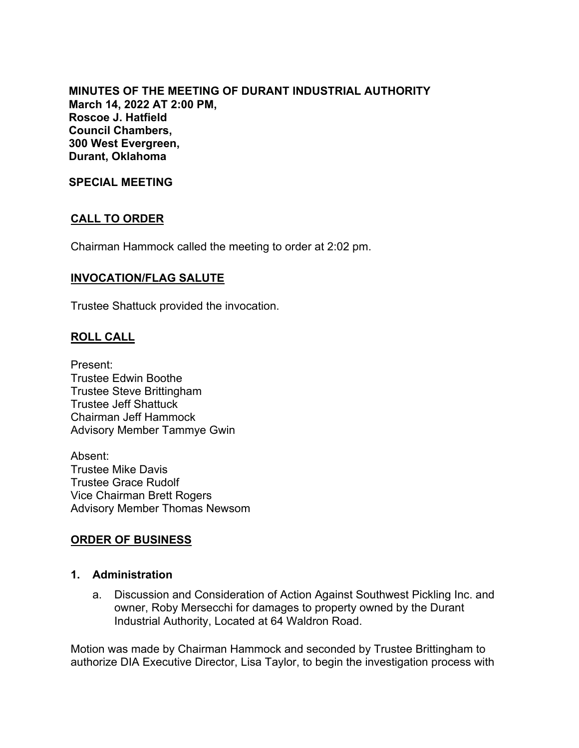**MINUTES OF THE MEETING OF DURANT INDUSTRIAL AUTHORITY March 14, 2022 AT 2:00 PM, Roscoe J. Hatfield Council Chambers, 300 West Evergreen, Durant, Oklahoma**

**SPECIAL MEETING**

# **CALL TO ORDER**

Chairman Hammock called the meeting to order at 2:02 pm.

### **INVOCATION/FLAG SALUTE**

Trustee Shattuck provided the invocation.

# **ROLL CALL**

Present: Trustee Edwin Boothe Trustee Steve Brittingham Trustee Jeff Shattuck Chairman Jeff Hammock Advisory Member Tammye Gwin

Absent: Trustee Mike Davis Trustee Grace Rudolf Vice Chairman Brett Rogers Advisory Member Thomas Newsom

### **ORDER OF BUSINESS**

#### **1. Administration**

a. Discussion and Consideration of Action Against Southwest Pickling Inc. and owner, Roby Mersecchi for damages to property owned by the Durant Industrial Authority, Located at 64 Waldron Road.

Motion was made by Chairman Hammock and seconded by Trustee Brittingham to authorize DIA Executive Director, Lisa Taylor, to begin the investigation process with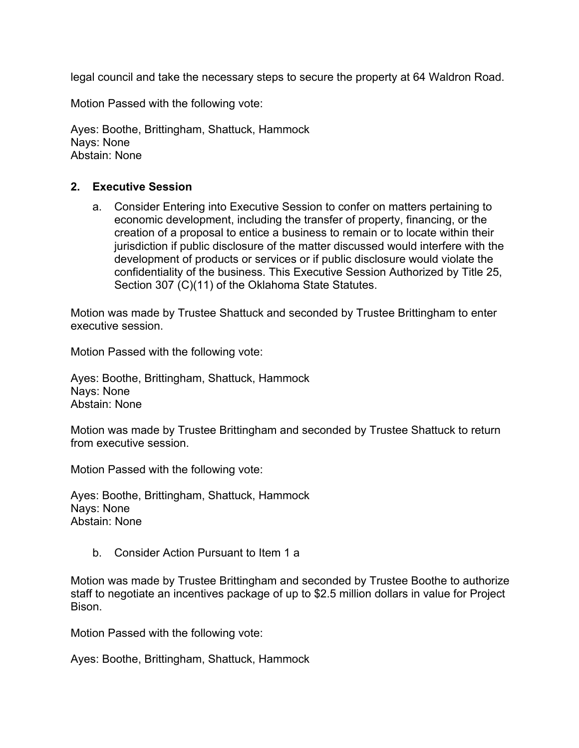legal council and take the necessary steps to secure the property at 64 Waldron Road.

Motion Passed with the following vote:

Ayes: Boothe, Brittingham, Shattuck, Hammock Nays: None Abstain: None

### **2. Executive Session**

a. Consider Entering into Executive Session to confer on matters pertaining to economic development, including the transfer of property, financing, or the creation of a proposal to entice a business to remain or to locate within their jurisdiction if public disclosure of the matter discussed would interfere with the development of products or services or if public disclosure would violate the confidentiality of the business. This Executive Session Authorized by Title 25, Section 307 (C)(11) of the Oklahoma State Statutes.

Motion was made by Trustee Shattuck and seconded by Trustee Brittingham to enter executive session.

Motion Passed with the following vote:

Ayes: Boothe, Brittingham, Shattuck, Hammock Nays: None Abstain: None

Motion was made by Trustee Brittingham and seconded by Trustee Shattuck to return from executive session.

Motion Passed with the following vote:

Ayes: Boothe, Brittingham, Shattuck, Hammock Nays: None Abstain: None

b. Consider Action Pursuant to Item 1 a

Motion was made by Trustee Brittingham and seconded by Trustee Boothe to authorize staff to negotiate an incentives package of up to \$2.5 million dollars in value for Project Bison.

Motion Passed with the following vote:

Ayes: Boothe, Brittingham, Shattuck, Hammock